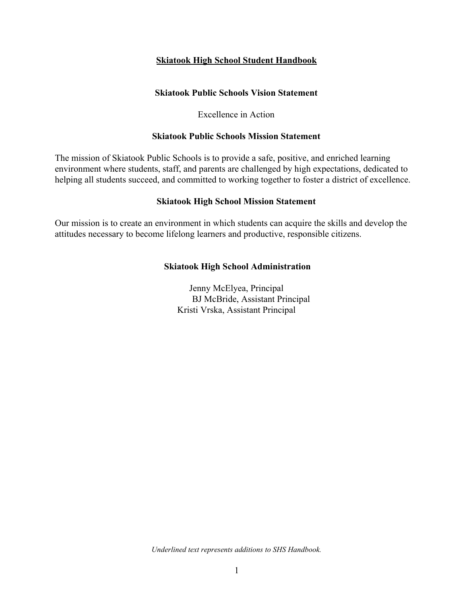#### **Skiatook High School Student Handbook**

#### **Skiatook Public Schools Vision Statement**

#### Excellence in Action

#### **Skiatook Public Schools Mission Statement**

The mission of Skiatook Public Schools is to provide a safe, positive, and enriched learning environment where students, staff, and parents are challenged by high expectations, dedicated to helping all students succeed, and committed to working together to foster a district of excellence.

#### **Skiatook High School Mission Statement**

Our mission is to create an environment in which students can acquire the skills and develop the attitudes necessary to become lifelong learners and productive, responsible citizens.

#### **Skiatook High School Administration**

Jenny McElyea, Principal BJ McBride, Assistant Principal Kristi Vrska, Assistant Principal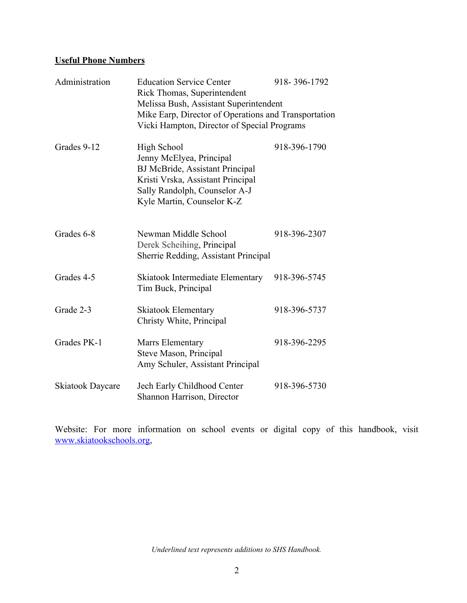### **Useful Phone Numbers**

| Administration          | <b>Education Service Center</b><br>Rick Thomas, Superintendent<br>Melissa Bush, Assistant Superintendent<br>Mike Earp, Director of Operations and Transportation<br>Vicki Hampton, Director of Special Programs | 918-396-1792 |
|-------------------------|-----------------------------------------------------------------------------------------------------------------------------------------------------------------------------------------------------------------|--------------|
| Grades 9-12             | <b>High School</b><br>Jenny McElyea, Principal<br><b>BJ McBride, Assistant Principal</b><br>Kristi Vrska, Assistant Principal<br>Sally Randolph, Counselor A-J<br>Kyle Martin, Counselor K-Z                    | 918-396-1790 |
| Grades 6-8              | Newman Middle School<br>Derek Scheihing, Principal<br>Sherrie Redding, Assistant Principal                                                                                                                      | 918-396-2307 |
| Grades 4-5              | Skiatook Intermediate Elementary<br>Tim Buck, Principal                                                                                                                                                         | 918-396-5745 |
| Grade 2-3               | <b>Skiatook Elementary</b><br>Christy White, Principal                                                                                                                                                          | 918-396-5737 |
| Grades PK-1             | Marrs Elementary<br>Steve Mason, Principal<br>Amy Schuler, Assistant Principal                                                                                                                                  | 918-396-2295 |
| <b>Skiatook Daycare</b> | Jech Early Childhood Center<br>Shannon Harrison, Director                                                                                                                                                       | 918-396-5730 |

Website: For more information on school events or digital copy of this handbook, visit [www.skiatookschools.org](http://www.skiatookschools.org/),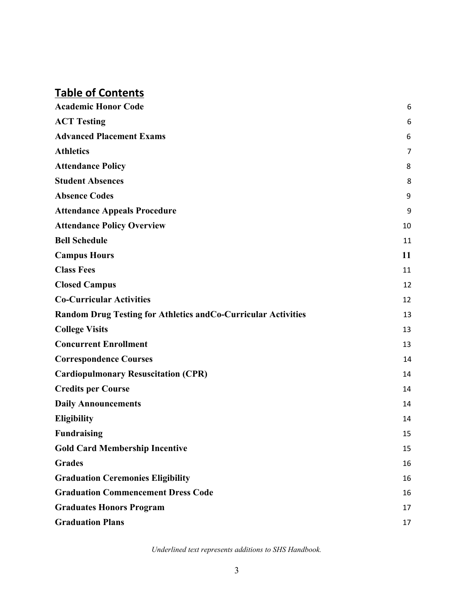# **Table of Contents**

| <b>Academic Honor Code</b>                                     | 6  |
|----------------------------------------------------------------|----|
| <b>ACT Testing</b>                                             | 6  |
| <b>Advanced Placement Exams</b>                                | 6  |
| <b>Athletics</b>                                               | 7  |
| <b>Attendance Policy</b>                                       | 8  |
| <b>Student Absences</b>                                        | 8  |
| <b>Absence Codes</b>                                           | 9  |
| <b>Attendance Appeals Procedure</b>                            | 9  |
| <b>Attendance Policy Overview</b>                              | 10 |
| <b>Bell Schedule</b>                                           | 11 |
| <b>Campus Hours</b>                                            | 11 |
| <b>Class Fees</b>                                              | 11 |
| <b>Closed Campus</b>                                           | 12 |
| <b>Co-Curricular Activities</b>                                | 12 |
| Random Drug Testing for Athletics and Co-Curricular Activities | 13 |
| <b>College Visits</b>                                          | 13 |
| <b>Concurrent Enrollment</b>                                   | 13 |
| <b>Correspondence Courses</b>                                  | 14 |
| <b>Cardiopulmonary Resuscitation (CPR)</b>                     | 14 |
| <b>Credits per Course</b>                                      | 14 |
| <b>Daily Announcements</b>                                     | 14 |
| <b>Eligibility</b>                                             | 14 |
| <b>Fundraising</b>                                             | 15 |
| <b>Gold Card Membership Incentive</b>                          | 15 |
| <b>Grades</b>                                                  | 16 |
| <b>Graduation Ceremonies Eligibility</b>                       | 16 |
| <b>Graduation Commencement Dress Code</b>                      | 16 |
| <b>Graduates Honors Program</b>                                | 17 |
| <b>Graduation Plans</b>                                        | 17 |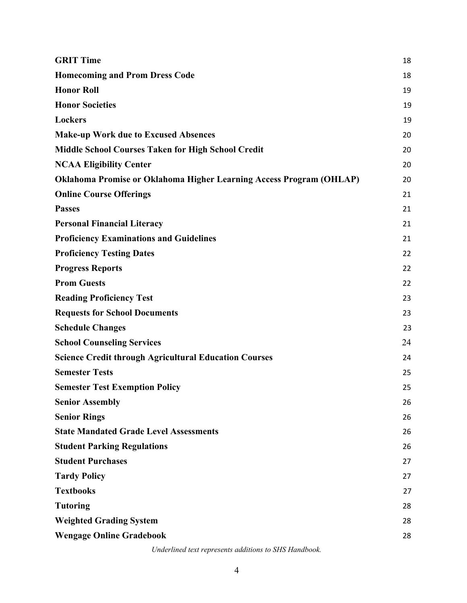| <b>GRIT Time</b>                                                           | 18 |
|----------------------------------------------------------------------------|----|
| <b>Homecoming and Prom Dress Code</b>                                      | 18 |
| <b>Honor Roll</b>                                                          | 19 |
| <b>Honor Societies</b>                                                     | 19 |
| <b>Lockers</b>                                                             | 19 |
| <b>Make-up Work due to Excused Absences</b>                                | 20 |
| <b>Middle School Courses Taken for High School Credit</b>                  | 20 |
| <b>NCAA Eligibility Center</b>                                             | 20 |
| <b>Oklahoma Promise or Oklahoma Higher Learning Access Program (OHLAP)</b> | 20 |
| <b>Online Course Offerings</b>                                             | 21 |
| <b>Passes</b>                                                              | 21 |
| <b>Personal Financial Literacy</b>                                         | 21 |
| <b>Proficiency Examinations and Guidelines</b>                             | 21 |
| <b>Proficiency Testing Dates</b>                                           | 22 |
| <b>Progress Reports</b>                                                    | 22 |
| <b>Prom Guests</b>                                                         | 22 |
| <b>Reading Proficiency Test</b>                                            | 23 |
| <b>Requests for School Documents</b>                                       | 23 |
| <b>Schedule Changes</b>                                                    | 23 |
| <b>School Counseling Services</b>                                          | 24 |
| <b>Science Credit through Agricultural Education Courses</b>               | 24 |
| <b>Semester Tests</b>                                                      | 25 |
| <b>Semester Test Exemption Policy</b>                                      | 25 |
| <b>Senior Assembly</b>                                                     | 26 |
| <b>Senior Rings</b>                                                        | 26 |
| <b>State Mandated Grade Level Assessments</b>                              | 26 |
| <b>Student Parking Regulations</b>                                         | 26 |
| <b>Student Purchases</b>                                                   | 27 |
| <b>Tardy Policy</b>                                                        | 27 |
| <b>Textbooks</b>                                                           | 27 |
| <b>Tutoring</b>                                                            | 28 |
| <b>Weighted Grading System</b>                                             | 28 |
| <b>Wengage Online Gradebook</b>                                            | 28 |
|                                                                            |    |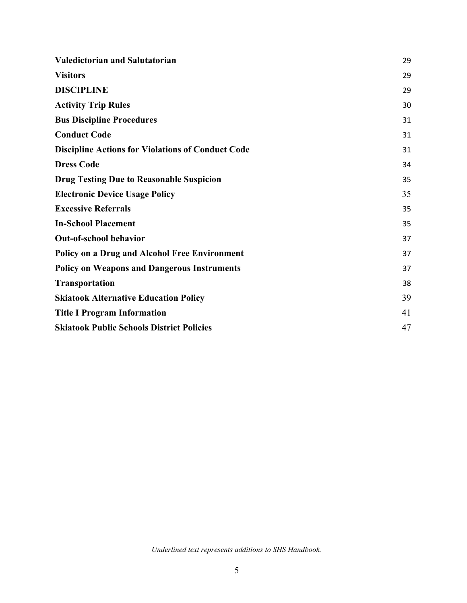| <b>Valedictorian and Salutatorian</b>                    | 29 |
|----------------------------------------------------------|----|
| <b>Visitors</b>                                          | 29 |
| <b>DISCIPLINE</b>                                        | 29 |
| <b>Activity Trip Rules</b>                               | 30 |
| <b>Bus Discipline Procedures</b>                         | 31 |
| <b>Conduct Code</b>                                      | 31 |
| <b>Discipline Actions for Violations of Conduct Code</b> | 31 |
| <b>Dress Code</b>                                        | 34 |
| <b>Drug Testing Due to Reasonable Suspicion</b>          | 35 |
| <b>Electronic Device Usage Policy</b>                    | 35 |
| <b>Excessive Referrals</b>                               | 35 |
| <b>In-School Placement</b>                               | 35 |
| Out-of-school behavior                                   | 37 |
| <b>Policy on a Drug and Alcohol Free Environment</b>     | 37 |
| <b>Policy on Weapons and Dangerous Instruments</b>       | 37 |
| <b>Transportation</b>                                    | 38 |
| <b>Skiatook Alternative Education Policy</b>             | 39 |
| <b>Title I Program Information</b>                       | 41 |
| <b>Skiatook Public Schools District Policies</b>         | 47 |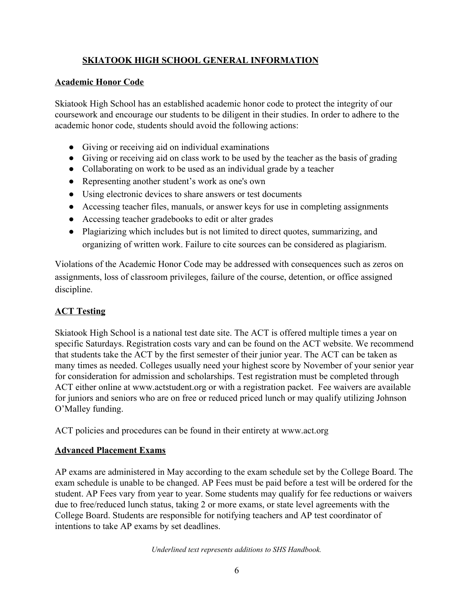# **SKIATOOK HIGH SCHOOL GENERAL INFORMATION**

#### **Academic Honor Code**

Skiatook High School has an established academic honor code to protect the integrity of our coursework and encourage our students to be diligent in their studies. In order to adhere to the academic honor code, students should avoid the following actions:

- Giving or receiving aid on individual examinations
- Giving or receiving aid on class work to be used by the teacher as the basis of grading
- Collaborating on work to be used as an individual grade by a teacher
- Representing another student's work as one's own
- Using electronic devices to share answers or test documents
- Accessing teacher files, manuals, or answer keys for use in completing assignments
- Accessing teacher gradebooks to edit or alter grades
- Plagiarizing which includes but is not limited to direct quotes, summarizing, and organizing of written work. Failure to cite sources can be considered as plagiarism.

Violations of the Academic Honor Code may be addressed with consequences such as zeros on assignments, loss of classroom privileges, failure of the course, detention, or office assigned discipline.

### <span id="page-5-0"></span>**ACT Testing**

Skiatook High School is a national test date site. The ACT is offered multiple times a year on specific Saturdays. Registration costs vary and can be found on the ACT website. We recommend that students take the ACT by the first semester of their junior year. The ACT can be taken as many times as needed. Colleges usually need your highest score by November of your senior year for consideration for admission and scholarships. Test registration must be completed through ACT either online at www.actstudent.org or with a registration packet. Fee waivers are available for juniors and seniors who are on free or reduced priced lunch or may qualify utilizing Johnson O'Malley funding.

<span id="page-5-1"></span>ACT policies and procedures can be found in their entirety at www.act.org

#### **Advanced Placement Exams**

AP exams are administered in May according to the exam schedule set by the College Board. The exam schedule is unable to be changed. AP Fees must be paid before a test will be ordered for the student. AP Fees vary from year to year. Some students may qualify for fee reductions or waivers due to free/reduced lunch status, taking 2 or more exams, or state level agreements with the College Board. Students are responsible for notifying teachers and AP test coordinator of intentions to take AP exams by set deadlines.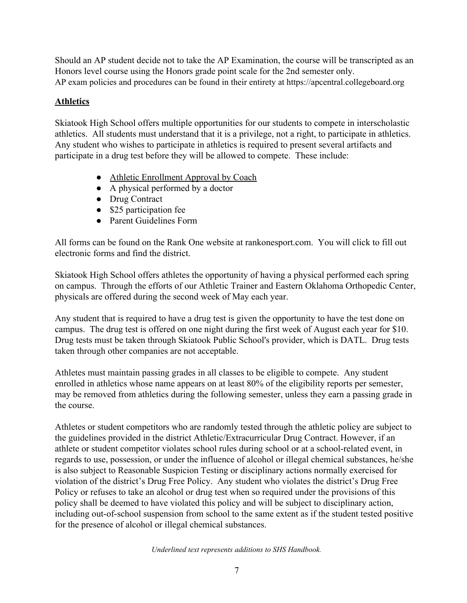Should an AP student decide not to take the AP Examination, the course will be transcripted as an Honors level course using the Honors grade point scale for the 2nd semester only. AP exam policies and procedures can be found in their entirety at https://apcentral.collegeboard.org

### <span id="page-6-0"></span>**Athletics**

Skiatook High School offers multiple opportunities for our students to compete in interscholastic athletics. All students must understand that it is a privilege, not a right, to participate in athletics. Any student who wishes to participate in athletics is required to present several artifacts and participate in a drug test before they will be allowed to compete. These include:

- Athletic Enrollment Approval by Coach
- A physical performed by a doctor
- Drug Contract
- \$25 participation fee
- Parent Guidelines Form

All forms can be found on the Rank One website at rankonesport.com. You will click to fill out electronic forms and find the district.

Skiatook High School offers athletes the opportunity of having a physical performed each spring on campus. Through the efforts of our Athletic Trainer and Eastern Oklahoma Orthopedic Center, physicals are offered during the second week of May each year.

Any student that is required to have a drug test is given the opportunity to have the test done on campus. The drug test is offered on one night during the first week of August each year for \$10. Drug tests must be taken through Skiatook Public School's provider, which is DATL. Drug tests taken through other companies are not acceptable.

Athletes must maintain passing grades in all classes to be eligible to compete. Any student enrolled in athletics whose name appears on at least 80% of the eligibility reports per semester, may be removed from athletics during the following semester, unless they earn a passing grade in the course.

Athletes or student competitors who are randomly tested through the athletic policy are subject to the guidelines provided in the district Athletic/Extracurricular Drug Contract. However, if an athlete or student competitor violates school rules during school or at a school-related event, in regards to use, possession, or under the influence of alcohol or illegal chemical substances, he/she is also subject to Reasonable Suspicion Testing or disciplinary actions normally exercised for violation of the district's Drug Free Policy. Any student who violates the district's Drug Free Policy or refuses to take an alcohol or drug test when so required under the provisions of this policy shall be deemed to have violated this policy and will be subject to disciplinary action, including out-of-school suspension from school to the same extent as if the student tested positive for the presence of alcohol or illegal chemical substances.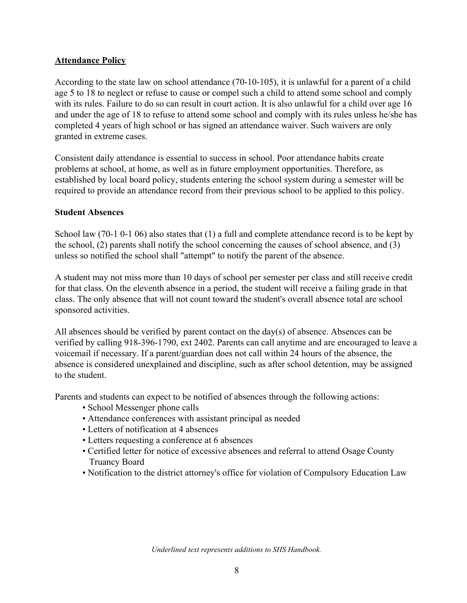#### <span id="page-7-0"></span>**Attendance Policy**

According to the state law on school attendance (70-10-105), it is unlawful for a parent of a child age 5 to 18 to neglect or refuse to cause or compel such a child to attend some school and comply with its rules. Failure to do so can result in court action. It is also unlawful for a child over age 16 and under the age of 18 to refuse to attend some school and comply with its rules unless he/she has completed 4 years of high school or has signed an attendance waiver. Such waivers are only granted in extreme cases.

Consistent daily attendance is essential to success in school. Poor attendance habits create problems at school, at home, as well as in future employment opportunities. Therefore, as established by local board policy, students entering the school system during a semester will be required to provide an attendance record from their previous school to be applied to this policy.

#### <span id="page-7-1"></span>**Student Absences**

School law (70-1 0-1 06) also states that (1) a full and complete attendance record is to be kept by the school, (2) parents shall notify the school concerning the causes of school absence, and (3) unless so notified the school shall "attempt" to notify the parent of the absence.

A student may not miss more than 10 days of school per semester per class and still receive credit for that class. On the eleventh absence in a period, the student will receive a failing grade in that class. The only absence that will not count toward the student's overall absence total are school sponsored activities.

All absences should be verified by parent contact on the day(s) of absence. Absences can be verified by calling 918-396-1790, ext 2402. Parents can call anytime and are encouraged to leave a voicemail if necessary. If a parent/guardian does not call within 24 hours of the absence, the absence is considered unexplained and discipline, such as after school detention, may be assigned to the student.

Parents and students can expect to be notified of absences through the following actions:

- School Messenger phone calls
- Attendance conferences with assistant principal as needed
- Letters of notification at 4 absences
- Letters requesting a conference at 6 absences
- Certified letter for notice of excessive absences and referral to attend Osage County Truancy Board
- <span id="page-7-2"></span>• Notification to the district attorney's office for violation of Compulsory Education Law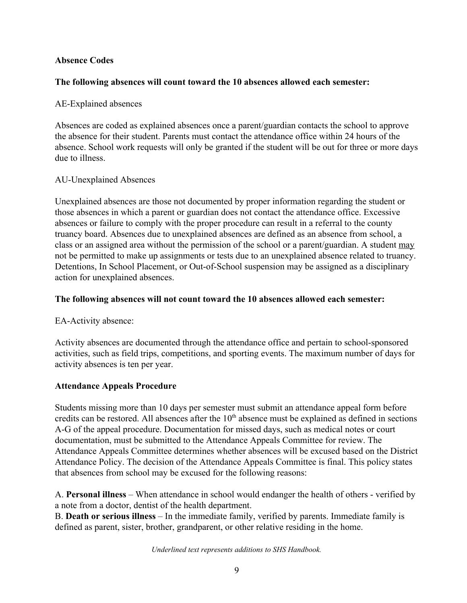#### **Absence Codes**

#### **The following absences will count toward the 10 absences allowed each semester:**

#### AE-Explained absences

Absences are coded as explained absences once a parent/guardian contacts the school to approve the absence for their student. Parents must contact the attendance office within 24 hours of the absence. School work requests will only be granted if the student will be out for three or more days due to illness.

#### AU-Unexplained Absences

Unexplained absences are those not documented by proper information regarding the student or those absences in which a parent or guardian does not contact the attendance office. Excessive absences or failure to comply with the proper procedure can result in a referral to the county truancy board. Absences due to unexplained absences are defined as an absence from school, a class or an assigned area without the permission of the school or a parent/guardian. A student may not be permitted to make up assignments or tests due to an unexplained absence related to truancy. Detentions, In School Placement, or Out-of-School suspension may be assigned as a disciplinary action for unexplained absences.

#### **The following absences will not count toward the 10 absences allowed each semester:**

EA-Activity absence:

Activity absences are documented through the attendance office and pertain to school-sponsored activities, such as field trips, competitions, and sporting events. The maximum number of days for activity absences is ten per year.

#### <span id="page-8-0"></span>**Attendance Appeals Procedure**

Students missing more than 10 days per semester must submit an attendance appeal form before credits can be restored. All absences after the  $10<sup>th</sup>$  absence must be explained as defined in sections A-G of the appeal procedure. Documentation for missed days, such as medical notes or court documentation, must be submitted to the Attendance Appeals Committee for review. The Attendance Appeals Committee determines whether absences will be excused based on the District Attendance Policy. The decision of the Attendance Appeals Committee is final. This policy states that absences from school may be excused for the following reasons:

A. **Personal illness** – When attendance in school would endanger the health of others - verified by a note from a doctor, dentist of the health department.

B. **Death or serious illness** – In the immediate family, verified by parents. Immediate family is defined as parent, sister, brother, grandparent, or other relative residing in the home.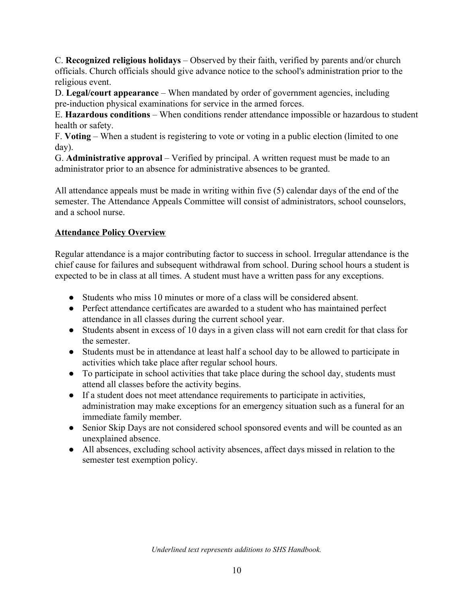C. **Recognized religious holidays** – Observed by their faith, verified by parents and/or church officials. Church officials should give advance notice to the school's administration prior to the religious event.

D. **Legal/court appearance** – When mandated by order of government agencies, including pre-induction physical examinations for service in the armed forces.

E. **Hazardous conditions** – When conditions render attendance impossible or hazardous to student health or safety.

F. **Voting** – When a student is registering to vote or voting in a public election (limited to one day).

G. **Administrative approval** – Verified by principal. A written request must be made to an administrator prior to an absence for administrative absences to be granted.

All attendance appeals must be made in writing within five (5) calendar days of the end of the semester. The Attendance Appeals Committee will consist of administrators, school counselors, and a school nurse.

# <span id="page-9-0"></span>**Attendance Policy Overview**

Regular attendance is a major contributing factor to success in school. Irregular attendance is the chief cause for failures and subsequent withdrawal from school. During school hours a student is expected to be in class at all times. A student must have a written pass for any exceptions.

- Students who miss 10 minutes or more of a class will be considered absent.
- Perfect attendance certificates are awarded to a student who has maintained perfect attendance in all classes during the current school year.
- Students absent in excess of 10 days in a given class will not earn credit for that class for the semester.
- Students must be in attendance at least half a school day to be allowed to participate in activities which take place after regular school hours.
- To participate in school activities that take place during the school day, students must attend all classes before the activity begins.
- If a student does not meet attendance requirements to participate in activities, administration may make exceptions for an emergency situation such as a funeral for an immediate family member.
- Senior Skip Days are not considered school sponsored events and will be counted as an unexplained absence.
- All absences, excluding school activity absences, affect days missed in relation to the semester test exemption policy.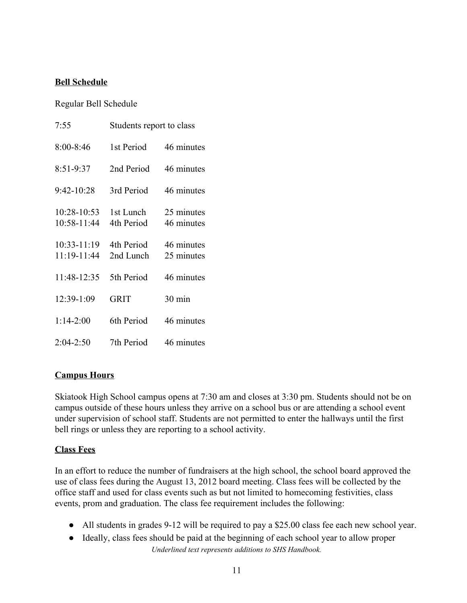#### **Bell Schedule**

Regular Bell Schedule

| 7:55                           | Students report to class |                          |
|--------------------------------|--------------------------|--------------------------|
| $8:00 - 8:46$                  | 1st Period               | 46 minutes               |
| $8:51-9:37$                    | 2nd Period               | 46 minutes               |
| 9:42-10:28                     | 3rd Period               | 46 minutes               |
| 10:28-10:53<br>10:58-11:44     | 1st Lunch<br>4th Period  | 25 minutes<br>46 minutes |
| $10:33 - 11:19$<br>11:19-11:44 | 4th Period<br>2nd Lunch  | 46 minutes<br>25 minutes |
| 11:48-12:35                    | 5th Period               | 46 minutes               |
| 12:39-1:09                     | <b>GRIT</b>              | $30 \text{ min}$         |
| $1:14-2:00$                    | 6th Period               | 46 minutes               |
| 2:04-2:50                      | 7th Period               | 46 minutes               |

### **Campus Hours**

Skiatook High School campus opens at 7:30 am and closes at 3:30 pm. Students should not be on campus outside of these hours unless they arrive on a school bus or are attending a school event under supervision of school staff. Students are not permitted to enter the hallways until the first bell rings or unless they are reporting to a school activity.

#### <span id="page-10-0"></span>**Class Fees**

In an effort to reduce the number of fundraisers at the high school, the school board approved the use of class fees during the August 13, 2012 board meeting. Class fees will be collected by the office staff and used for class events such as but not limited to homecoming festivities, class events, prom and graduation. The class fee requirement includes the following:

- All students in grades 9-12 will be required to pay a \$25.00 class fee each new school year.
- Ideally, class fees should be paid at the beginning of each school year to allow proper *Underlined text represents additions to SHS Handbook.*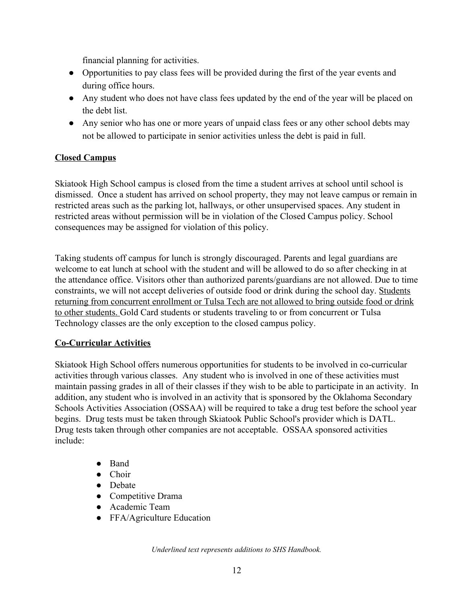financial planning for activities.

- Opportunities to pay class fees will be provided during the first of the year events and during office hours.
- Any student who does not have class fees updated by the end of the year will be placed on the debt list.
- Any senior who has one or more years of unpaid class fees or any other school debts may not be allowed to participate in senior activities unless the debt is paid in full.

### <span id="page-11-0"></span>**Closed Campus**

Skiatook High School campus is closed from the time a student arrives at school until school is dismissed. Once a student has arrived on school property, they may not leave campus or remain in restricted areas such as the parking lot, hallways, or other unsupervised spaces. Any student in restricted areas without permission will be in violation of the Closed Campus policy. School consequences may be assigned for violation of this policy.

Taking students off campus for lunch is strongly discouraged. Parents and legal guardians are welcome to eat lunch at school with the student and will be allowed to do so after checking in at the attendance office. Visitors other than authorized parents/guardians are not allowed. Due to time constraints, we will not accept deliveries of outside food or drink during the school day. Students returning from concurrent enrollment or Tulsa Tech are not allowed to bring outside food or drink to other students. Gold Card students or students traveling to or from concurrent or Tulsa Technology classes are the only exception to the closed campus policy.

### <span id="page-11-1"></span>**Co-Curricular Activities**

Skiatook High School offers numerous opportunities for students to be involved in co-curricular activities through various classes. Any student who is involved in one of these activities must maintain passing grades in all of their classes if they wish to be able to participate in an activity. In addition, any student who is involved in an activity that is sponsored by the Oklahoma Secondary Schools Activities Association (OSSAA) will be required to take a drug test before the school year begins. Drug tests must be taken through Skiatook Public School's provider which is DATL. Drug tests taken through other companies are not acceptable. OSSAA sponsored activities include:

- Band
- Choir
- Debate
- Competitive Drama
- Academic Team
- FFA/Agriculture Education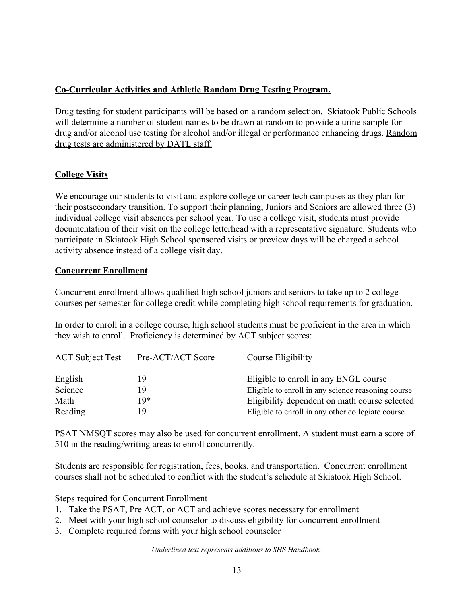### <span id="page-12-0"></span>**Co-Curricular Activities and Athletic Random Drug Testing Program.**

Drug testing for student participants will be based on a random selection. Skiatook Public Schools will determine a number of student names to be drawn at random to provide a urine sample for drug and/or alcohol use testing for alcohol and/or illegal or performance enhancing drugs. Random drug tests are administered by DATL staff.

# <span id="page-12-1"></span>**College Visits**

We encourage our students to visit and explore college or career tech campuses as they plan for their postsecondary transition. To support their planning, Juniors and Seniors are allowed three (3) individual college visit absences per school year. To use a college visit, students must provide documentation of their visit on the college letterhead with a representative signature. Students who participate in Skiatook High School sponsored visits or preview days will be charged a school activity absence instead of a college visit day.

### <span id="page-12-2"></span>**Concurrent Enrollment**

Concurrent enrollment allows qualified high school juniors and seniors to take up to 2 college courses per semester for college credit while completing high school requirements for graduation.

In order to enroll in a college course, high school students must be proficient in the area in which they wish to enroll. Proficiency is determined by ACT subject scores:

| <b>ACT Subject Test</b> | Pre-ACT/ACT Score | Course Eligibility                                 |
|-------------------------|-------------------|----------------------------------------------------|
| English                 | 19                | Eligible to enroll in any ENGL course              |
| Science                 | 19                | Eligible to enroll in any science reasoning course |
| Math                    | 19*               | Eligibility dependent on math course selected      |
| Reading                 | 19                | Eligible to enroll in any other collegiate course  |

PSAT NMSQT scores may also be used for concurrent enrollment. A student must earn a score of 510 in the reading/writing areas to enroll concurrently.

Students are responsible for registration, fees, books, and transportation. Concurrent enrollment courses shall not be scheduled to conflict with the student's schedule at Skiatook High School.

Steps required for Concurrent Enrollment

- 1. Take the PSAT, Pre ACT, or ACT and achieve scores necessary for enrollment
- 2. Meet with your high school counselor to discuss eligibility for concurrent enrollment
- 3. Complete required forms with your high school counselor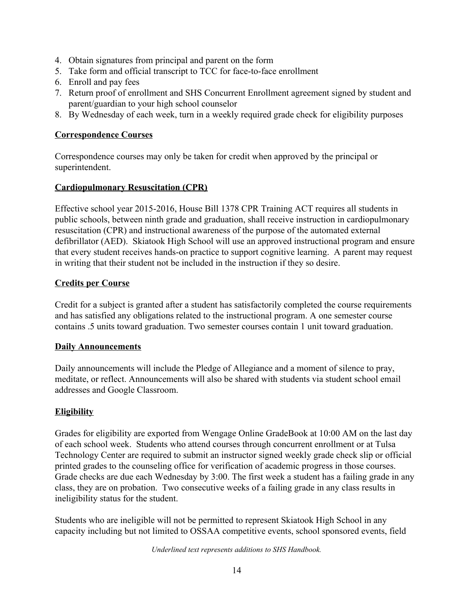- 4. Obtain signatures from principal and parent on the form
- 5. Take form and official transcript to TCC for face-to-face enrollment
- 6. Enroll and pay fees
- 7. Return proof of enrollment and SHS Concurrent Enrollment agreement signed by student and parent/guardian to your high school counselor
- <span id="page-13-0"></span>8. By Wednesday of each week, turn in a weekly required grade check for eligibility purposes

#### **Correspondence Courses**

Correspondence courses may only be taken for credit when approved by the principal or superintendent.

### <span id="page-13-1"></span>**Cardiopulmonary Resuscitation (CPR)**

Effective school year 2015-2016, House Bill 1378 CPR Training ACT requires all students in public schools, between ninth grade and graduation, shall receive instruction in cardiopulmonary resuscitation (CPR) and instructional awareness of the purpose of the automated external defibrillator (AED). Skiatook High School will use an approved instructional program and ensure that every student receives hands-on practice to support cognitive learning. A parent may request in writing that their student not be included in the instruction if they so desire.

#### <span id="page-13-2"></span>**Credits per Course**

Credit for a subject is granted after a student has satisfactorily completed the course requirements and has satisfied any obligations related to the instructional program. A one semester course contains .5 units toward graduation. Two semester courses contain 1 unit toward graduation.

#### <span id="page-13-3"></span>**Daily Announcements**

Daily announcements will include the Pledge of Allegiance and a moment of silence to pray, meditate, or reflect. Announcements will also be shared with students via student school email addresses and Google Classroom.

### **Eligibility**

Grades for eligibility are exported from Wengage Online GradeBook at 10:00 AM on the last day of each school week. Students who attend courses through concurrent enrollment or at Tulsa Technology Center are required to submit an instructor signed weekly grade check slip or official printed grades to the counseling office for verification of academic progress in those courses. Grade checks are due each Wednesday by 3:00. The first week a student has a failing grade in any class, they are on probation. Two consecutive weeks of a failing grade in any class results in ineligibility status for the student.

Students who are ineligible will not be permitted to represent Skiatook High School in any capacity including but not limited to OSSAA competitive events, school sponsored events, field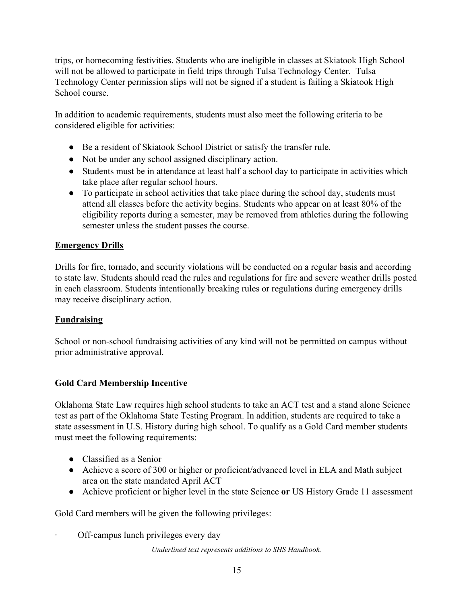trips, or homecoming festivities. Students who are ineligible in classes at Skiatook High School will not be allowed to participate in field trips through Tulsa Technology Center. Tulsa Technology Center permission slips will not be signed if a student is failing a Skiatook High School course.

In addition to academic requirements, students must also meet the following criteria to be considered eligible for activities:

- Be a resident of Skiatook School District or satisfy the transfer rule.
- Not be under any school assigned disciplinary action.
- Students must be in attendance at least half a school day to participate in activities which take place after regular school hours.
- To participate in school activities that take place during the school day, students must attend all classes before the activity begins. Students who appear on at least 80% of the eligibility reports during a semester, may be removed from athletics during the following semester unless the student passes the course.

### **Emergency Drills**

Drills for fire, tornado, and security violations will be conducted on a regular basis and according to state law. Students should read the rules and regulations for fire and severe weather drills posted in each classroom. Students intentionally breaking rules or regulations during emergency drills may receive disciplinary action.

### <span id="page-14-0"></span>**Fundraising**

School or non-school fundraising activities of any kind will not be permitted on campus without prior administrative approval.

### <span id="page-14-1"></span>**Gold Card Membership Incentive**

Oklahoma State Law requires high school students to take an ACT test and a stand alone Science test as part of the Oklahoma State Testing Program. In addition, students are required to take a state assessment in U.S. History during high school. To qualify as a Gold Card member students must meet the following requirements:

- Classified as a Senior
- Achieve a score of 300 or higher or proficient/advanced level in ELA and Math subject area on the state mandated April ACT
- Achieve proficient or higher level in the state Science **or** US History Grade 11 assessment

Gold Card members will be given the following privileges:

Off-campus lunch privileges every day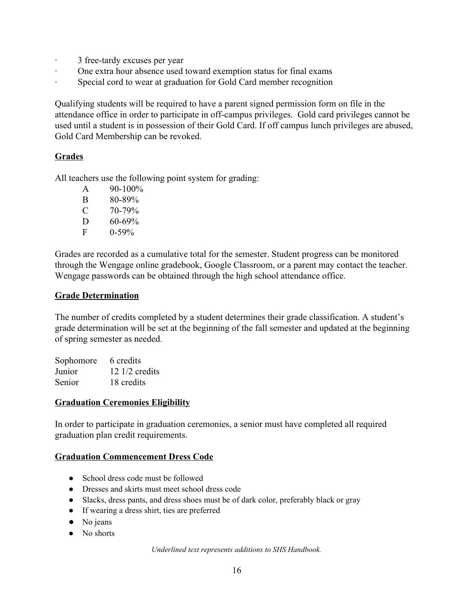- · 3 free-tardy excuses per year
- One extra hour absence used toward exemption status for final exams
- Special cord to wear at graduation for Gold Card member recognition

Qualifying students will be required to have a parent signed permission form on file in the attendance office in order to participate in off-campus privileges. Gold card privileges cannot be used until a student is in possession of their Gold Card. If off campus lunch privileges are abused, Gold Card Membership can be revoked.

#### <span id="page-15-0"></span>**Grades**

All teachers use the following point system for grading:

- A 90-100% B 80-89%  $C = 70-79%$  $D = 60-69%$
- $F = 0.59\%$

Grades are recorded as a cumulative total for the semester. Student progress can be monitored through the Wengage online gradebook, Google Classroom, or a parent may contact the teacher. Wengage passwords can be obtained through the high school attendance office.

#### **Grade Determination**

The number of credits completed by a student determines their grade classification. A student's grade determination will be set at the beginning of the fall semester and updated at the beginning of spring semester as needed.

| Sophomore | 6 credits                |
|-----------|--------------------------|
| Junior    | $12 \frac{1}{2}$ credits |
| Senior    | 18 credits               |

#### **Graduation Ceremonies Eligibility**

In order to participate in graduation ceremonies, a senior must have completed all required graduation plan credit requirements.

#### **Graduation Commencement Dress Code**

- School dress code must be followed
- Dresses and skirts must meet school dress code
- Slacks, dress pants, and dress shoes must be of dark color, preferably black or gray
- If wearing a dress shirt, ties are preferred
- No jeans
- No shorts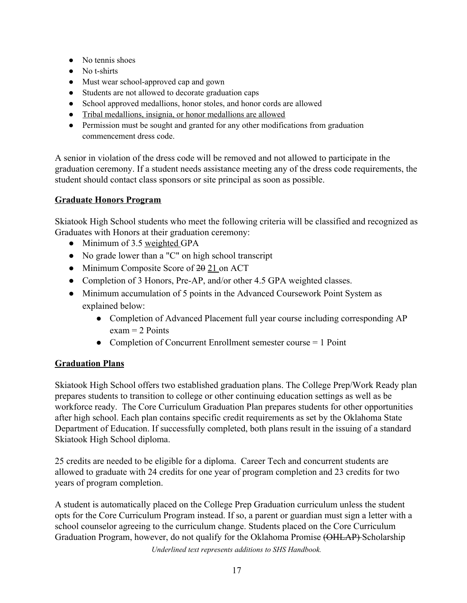- No tennis shoes
- No t-shirts
- Must wear school-approved cap and gown
- Students are not allowed to decorate graduation caps
- School approved medallions, honor stoles, and honor cords are allowed
- Tribal medallions, insignia, or honor medallions are allowed
- Permission must be sought and granted for any other modifications from graduation commencement dress code.

A senior in violation of the dress code will be removed and not allowed to participate in the graduation ceremony. If a student needs assistance meeting any of the dress code requirements, the student should contact class sponsors or site principal as soon as possible.

#### <span id="page-16-0"></span>**Graduate Honors Program**

Skiatook High School students who meet the following criteria will be classified and recognized as Graduates with Honors at their graduation ceremony:

- Minimum of 3.5 weighted GPA
- No grade lower than a "C" on high school transcript
- Minimum Composite Score of  $2\theta$  21 on ACT
- Completion of 3 Honors, Pre-AP, and/or other 4.5 GPA weighted classes.
- Minimum accumulation of 5 points in the Advanced Coursework Point System as explained below:
	- Completion of Advanced Placement full year course including corresponding AP  $exam = 2$  Points
	- Completion of Concurrent Enrollment semester course = 1 Point

### <span id="page-16-1"></span>**Graduation Plans**

Skiatook High School offers two established graduation plans. The College Prep/Work Ready plan prepares students to transition to college or other continuing education settings as well as be workforce ready. The Core Curriculum Graduation Plan prepares students for other opportunities after high school. Each plan contains specific credit requirements as set by the Oklahoma State Department of Education. If successfully completed, both plans result in the issuing of a standard Skiatook High School diploma.

25 credits are needed to be eligible for a diploma. Career Tech and concurrent students are allowed to graduate with 24 credits for one year of program completion and 23 credits for two years of program completion.

A student is automatically placed on the College Prep Graduation curriculum unless the student opts for the Core Curriculum Program instead. If so, a parent or guardian must sign a letter with a school counselor agreeing to the curriculum change. Students placed on the Core Curriculum Graduation Program, however, do not qualify for the Oklahoma Promise (OHLAP) Scholarship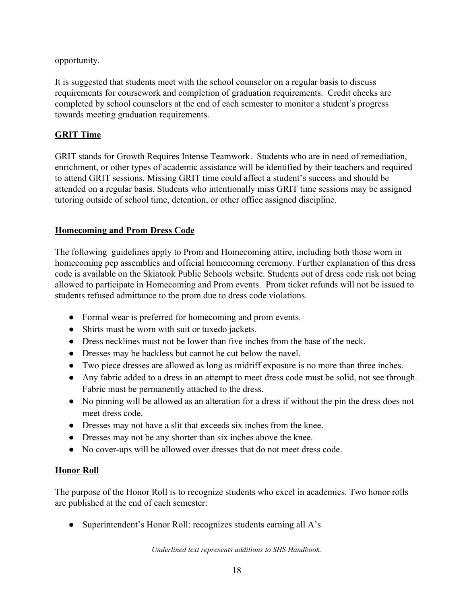#### opportunity.

It is suggested that students meet with the school counselor on a regular basis to discuss requirements for coursework and completion of graduation requirements. Credit checks are completed by school counselors at the end of each semester to monitor a student's progress towards meeting graduation requirements.

#### <span id="page-17-0"></span>**GRIT Time**

GRIT stands for Growth Requires Intense Teamwork. Students who are in need of remediation, enrichment, or other types of academic assistance will be identified by their teachers and required to attend GRIT sessions. Missing GRIT time could affect a student's success and should be attended on a regular basis. Students who intentionally miss GRIT time sessions may be assigned tutoring outside of school time, detention, or other office assigned discipline.

#### <span id="page-17-1"></span>**Homecoming and Prom Dress Code**

The following guidelines apply to Prom and Homecoming attire, including both those worn in homecoming pep assemblies and official homecoming ceremony. Further explanation of this dress code is available on the Skiatook Public Schools website. Students out of dress code risk not being allowed to participate in Homecoming and Prom events. Prom ticket refunds will not be issued to students refused admittance to the prom due to dress code violations.

- Formal wear is preferred for homecoming and prom events.
- Shirts must be worn with suit or tuxedo jackets.
- Dress necklines must not be lower than five inches from the base of the neck.
- Dresses may be backless but cannot be cut below the navel.
- Two piece dresses are allowed as long as midriff exposure is no more than three inches.
- Any fabric added to a dress in an attempt to meet dress code must be solid, not see through. Fabric must be permanently attached to the dress.
- No pinning will be allowed as an alteration for a dress if without the pin the dress does not meet dress code.
- Dresses may not have a slit that exceeds six inches from the knee.
- Dresses may not be any shorter than six inches above the knee.
- No cover-ups will be allowed over dresses that do not meet dress code.

#### **Honor Roll**

The purpose of the Honor Roll is to recognize students who excel in academics. Two honor rolls are published at the end of each semester:

• Superintendent's Honor Roll: recognizes students earning all A's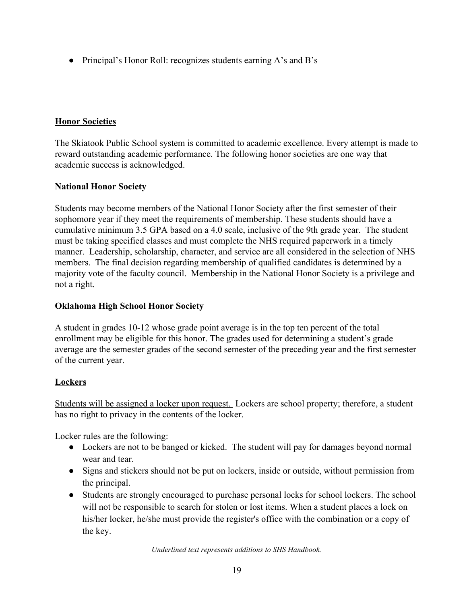<span id="page-18-0"></span>● Principal's Honor Roll: recognizes students earning A's and B's

### **Honor Societies**

The Skiatook Public School system is committed to academic excellence. Every attempt is made to reward outstanding academic performance. The following honor societies are one way that academic success is acknowledged.

# **National Honor Society**

Students may become members of the National Honor Society after the first semester of their sophomore year if they meet the requirements of membership. These students should have a cumulative minimum 3.5 GPA based on a 4.0 scale, inclusive of the 9th grade year. The student must be taking specified classes and must complete the NHS required paperwork in a timely manner. Leadership, scholarship, character, and service are all considered in the selection of NHS members. The final decision regarding membership of qualified candidates is determined by a majority vote of the faculty council. Membership in the National Honor Society is a privilege and not a right.

### **Oklahoma High School Honor Society**

A student in grades 10-12 whose grade point average is in the top ten percent of the total enrollment may be eligible for this honor. The grades used for determining a student's grade average are the semester grades of the second semester of the preceding year and the first semester of the current year.

# **Lockers**

Students will be assigned a locker upon request. Lockers are school property; therefore, a student has no right to privacy in the contents of the locker.

Locker rules are the following:

- Lockers are not to be banged or kicked. The student will pay for damages beyond normal wear and tear.
- Signs and stickers should not be put on lockers, inside or outside, without permission from the principal.
- Students are strongly encouraged to purchase personal locks for school lockers. The school will not be responsible to search for stolen or lost items. When a student places a lock on his/her locker, he/she must provide the register's office with the combination or a copy of the key.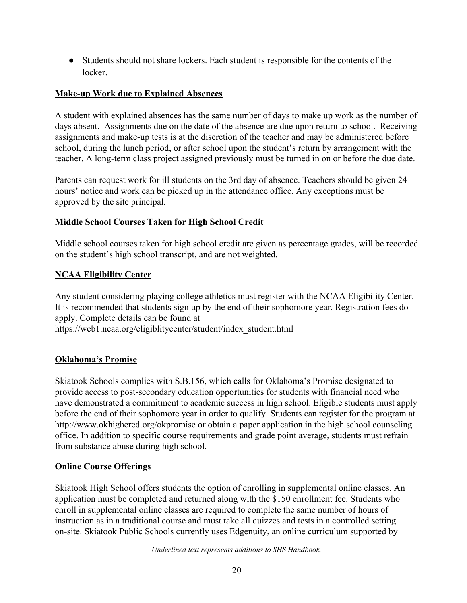● Students should not share lockers. Each student is responsible for the contents of the locker.

### <span id="page-19-0"></span>**Make-up Work due to Explained Absences**

A student with explained absences has the same number of days to make up work as the number of days absent. Assignments due on the date of the absence are due upon return to school. Receiving assignments and make-up tests is at the discretion of the teacher and may be administered before school, during the lunch period, or after school upon the student's return by arrangement with the teacher. A long-term class project assigned previously must be turned in on or before the due date.

Parents can request work for ill students on the 3rd day of absence. Teachers should be given 24 hours' notice and work can be picked up in the attendance office. Any exceptions must be approved by the site principal.

#### <span id="page-19-1"></span>**Middle School Courses Taken for High School Credit**

Middle school courses taken for high school credit are given as percentage grades, will be recorded on the student's high school transcript, and are not weighted.

#### <span id="page-19-2"></span>**NCAA Eligibility Center**

Any student considering playing college athletics must register with the NCAA Eligibility Center. It is recommended that students sign up by the end of their sophomore year. Registration fees do apply. Complete details can be found at

https://web1.ncaa.org/eligiblitycenter/student/index\_student.html

### <span id="page-19-3"></span>**Oklahoma's Promise**

Skiatook Schools complies with S.B.156, which calls for Oklahoma's Promise designated to provide access to post-secondary education opportunities for students with financial need who have demonstrated a commitment to academic success in high school. Eligible students must apply before the end of their sophomore year in order to qualify. Students can register for the program at http://www.okhighered.org/okpromise or obtain a paper application in the high school counseling office. In addition to specific course requirements and grade point average, students must refrain from substance abuse during high school.

#### <span id="page-19-4"></span>**Online Course Offerings**

Skiatook High School offers students the option of enrolling in supplemental online classes. An application must be completed and returned along with the \$150 enrollment fee. Students who enroll in supplemental online classes are required to complete the same number of hours of instruction as in a traditional course and must take all quizzes and tests in a controlled setting on-site. Skiatook Public Schools currently uses Edgenuity, an online curriculum supported by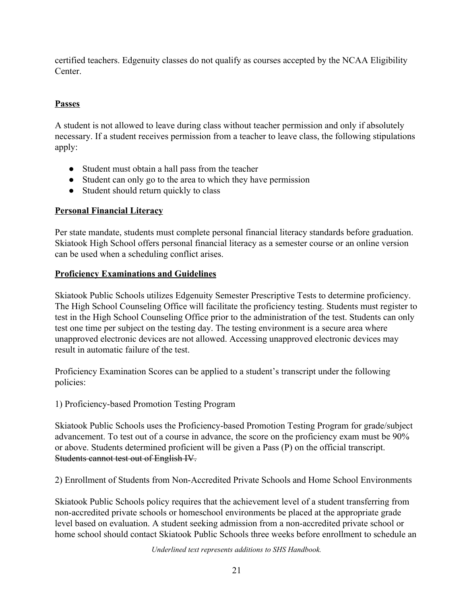certified teachers. Edgenuity classes do not qualify as courses accepted by the NCAA Eligibility Center.

# **Passes**

A student is not allowed to leave during class without teacher permission and only if absolutely necessary. If a student receives permission from a teacher to leave class, the following stipulations apply:

- Student must obtain a hall pass from the teacher
- Student can only go to the area to which they have permission
- Student should return quickly to class

# <span id="page-20-0"></span>**Personal Financial Literacy**

Per state mandate, students must complete personal financial literacy standards before graduation. Skiatook High School offers personal financial literacy as a semester course or an online version can be used when a scheduling conflict arises.

### <span id="page-20-1"></span>**Proficiency Examinations and Guidelines**

Skiatook Public Schools utilizes Edgenuity Semester Prescriptive Tests to determine proficiency. The High School Counseling Office will facilitate the proficiency testing. Students must register to test in the High School Counseling Office prior to the administration of the test. Students can only test one time per subject on the testing day. The testing environment is a secure area where unapproved electronic devices are not allowed. Accessing unapproved electronic devices may result in automatic failure of the test.

Proficiency Examination Scores can be applied to a student's transcript under the following policies:

1) Proficiency-based Promotion Testing Program

Skiatook Public Schools uses the Proficiency-based Promotion Testing Program for grade/subject advancement. To test out of a course in advance, the score on the proficiency exam must be 90% or above. Students determined proficient will be given a Pass (P) on the official transcript. Students cannot test out of English IV.

2) Enrollment of Students from Non-Accredited Private Schools and Home School Environments

Skiatook Public Schools policy requires that the achievement level of a student transferring from non-accredited private schools or homeschool environments be placed at the appropriate grade level based on evaluation. A student seeking admission from a non-accredited private school or home school should contact Skiatook Public Schools three weeks before enrollment to schedule an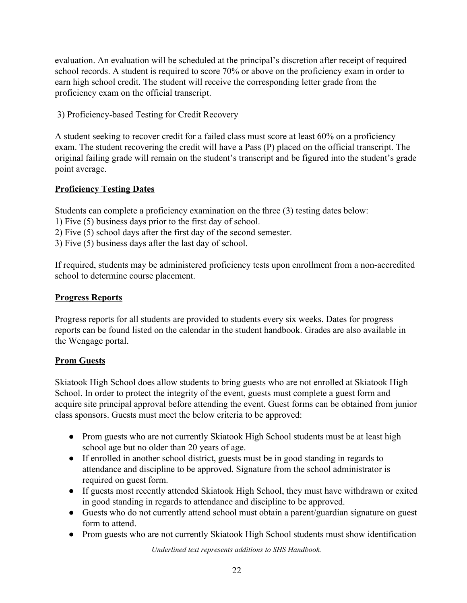evaluation. An evaluation will be scheduled at the principal's discretion after receipt of required school records. A student is required to score 70% or above on the proficiency exam in order to earn high school credit. The student will receive the corresponding letter grade from the proficiency exam on the official transcript.

3) Proficiency-based Testing for Credit Recovery

A student seeking to recover credit for a failed class must score at least 60% on a proficiency exam. The student recovering the credit will have a Pass (P) placed on the official transcript. The original failing grade will remain on the student's transcript and be figured into the student's grade point average.

### <span id="page-21-0"></span>**Proficiency Testing Dates**

Students can complete a proficiency examination on the three (3) testing dates below:

- 1) Five (5) business days prior to the first day of school.
- 2) Five (5) school days after the first day of the second semester.
- 3) Five (5) business days after the last day of school.

If required, students may be administered proficiency tests upon enrollment from a non-accredited school to determine course placement.

#### **Progress Reports**

Progress reports for all students are provided to students every six weeks. Dates for progress reports can be found listed on the calendar in the student handbook. Grades are also available in the Wengage portal.

#### **Prom Guests**

Skiatook High School does allow students to bring guests who are not enrolled at Skiatook High School. In order to protect the integrity of the event, guests must complete a guest form and acquire site principal approval before attending the event. Guest forms can be obtained from junior class sponsors. Guests must meet the below criteria to be approved:

- Prom guests who are not currently Skiatook High School students must be at least high school age but no older than 20 years of age.
- If enrolled in another school district, guests must be in good standing in regards to attendance and discipline to be approved. Signature from the school administrator is required on guest form.
- If guests most recently attended Skiatook High School, they must have withdrawn or exited in good standing in regards to attendance and discipline to be approved.
- Guests who do not currently attend school must obtain a parent/guardian signature on guest form to attend.
- Prom guests who are not currently Skiatook High School students must show identification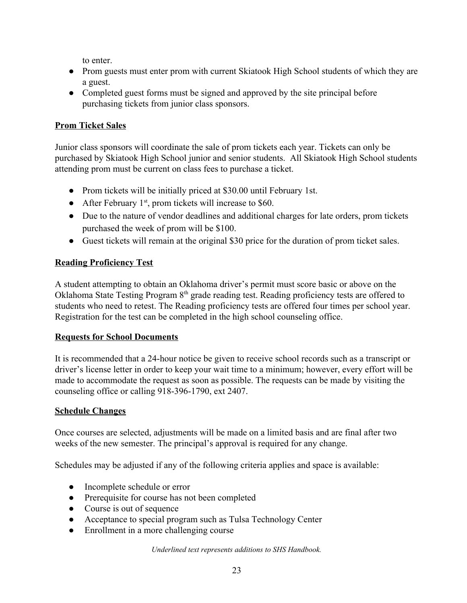to enter.

- Prom guests must enter prom with current Skiatook High School students of which they are a guest.
- Completed guest forms must be signed and approved by the site principal before purchasing tickets from junior class sponsors.

# **Prom Ticket Sales**

Junior class sponsors will coordinate the sale of prom tickets each year. Tickets can only be purchased by Skiatook High School junior and senior students. All Skiatook High School students attending prom must be current on class fees to purchase a ticket.

- Prom tickets will be initially priced at \$30.00 until February 1st.
- After February  $1<sup>st</sup>$ , prom tickets will increase to \$60.
- Due to the nature of vendor deadlines and additional charges for late orders, prom tickets purchased the week of prom will be \$100.
- Guest tickets will remain at the original \$30 price for the duration of prom ticket sales.

# <span id="page-22-0"></span>**Reading Proficiency Test**

A student attempting to obtain an Oklahoma driver's permit must score basic or above on the Oklahoma State Testing Program 8<sup>th</sup> grade reading test. Reading proficiency tests are offered to students who need to retest. The Reading proficiency tests are offered four times per school year. Registration for the test can be completed in the high school counseling office.

### <span id="page-22-1"></span>**Requests for School Documents**

It is recommended that a 24-hour notice be given to receive school records such as a transcript or driver's license letter in order to keep your wait time to a minimum; however, every effort will be made to accommodate the request as soon as possible. The requests can be made by visiting the counseling office or calling 918-396-1790, ext 2407.

### <span id="page-22-2"></span>**Schedule Changes**

Once courses are selected, adjustments will be made on a limited basis and are final after two weeks of the new semester. The principal's approval is required for any change.

Schedules may be adjusted if any of the following criteria applies and space is available:

- Incomplete schedule or error
- Prerequisite for course has not been completed
- Course is out of sequence
- Acceptance to special program such as Tulsa Technology Center
- Enrollment in a more challenging course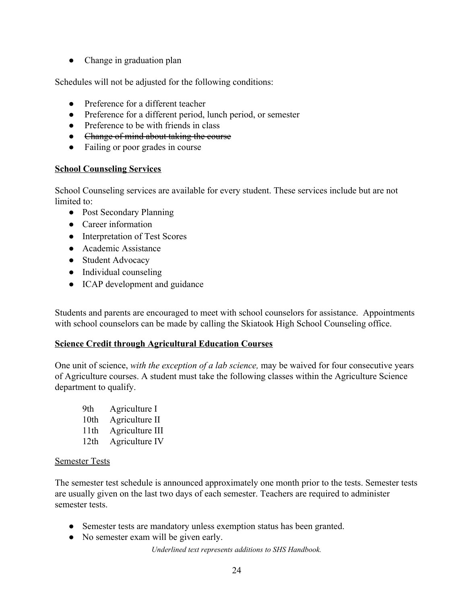• Change in graduation plan

Schedules will not be adjusted for the following conditions:

- Preference for a different teacher
- Preference for a different period, lunch period, or semester
- Preference to be with friends in class
- Change of mind about taking the course
- Failing or poor grades in course

#### **School Counseling Services**

School Counseling services are available for every student. These services include but are not limited to:

- Post Secondary Planning
- Career information
- Interpretation of Test Scores
- Academic Assistance
- Student Advocacy
- Individual counseling
- ICAP development and guidance

Students and parents are encouraged to meet with school counselors for assistance. Appointments with school counselors can be made by calling the Skiatook High School Counseling office.

#### <span id="page-23-0"></span>**Science Credit through Agricultural Education Courses**

One unit of science, *with the exception of a lab science,* may be waived for four consecutive years of Agriculture courses. A student must take the following classes within the Agriculture Science department to qualify.

| 9th  | Agriculture I   |
|------|-----------------|
| 10th | Agriculture II  |
| 11th | Agriculture III |
| 12th | Agriculture IV  |

#### <span id="page-23-1"></span>Semester Tests

The semester test schedule is announced approximately one month prior to the tests. Semester tests are usually given on the last two days of each semester. Teachers are required to administer semester tests.

- Semester tests are mandatory unless exemption status has been granted.
- No semester exam will be given early.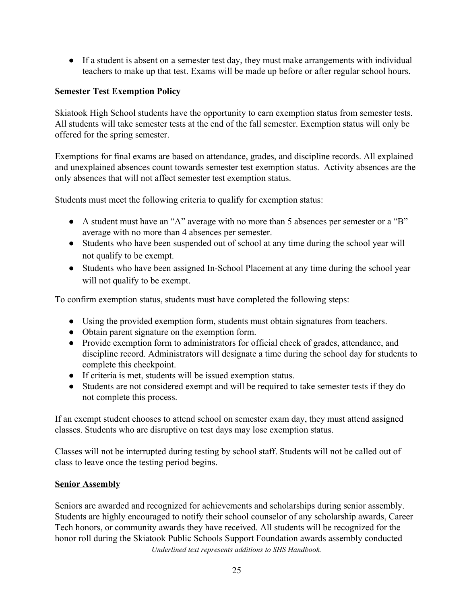● If a student is absent on a semester test day, they must make arrangements with individual teachers to make up that test. Exams will be made up before or after regular school hours.

#### <span id="page-24-0"></span>**Semester Test Exemption Policy**

Skiatook High School students have the opportunity to earn exemption status from semester tests. All students will take semester tests at the end of the fall semester. Exemption status will only be offered for the spring semester.

Exemptions for final exams are based on attendance, grades, and discipline records. All explained and unexplained absences count towards semester test exemption status. Activity absences are the only absences that will not affect semester test exemption status.

Students must meet the following criteria to qualify for exemption status:

- A student must have an "A" average with no more than 5 absences per semester or a "B" average with no more than 4 absences per semester.
- Students who have been suspended out of school at any time during the school year will not qualify to be exempt.
- Students who have been assigned In-School Placement at any time during the school year will not qualify to be exempt.

To confirm exemption status, students must have completed the following steps:

- Using the provided exemption form, students must obtain signatures from teachers.
- Obtain parent signature on the exemption form.
- Provide exemption form to administrators for official check of grades, attendance, and discipline record. Administrators will designate a time during the school day for students to complete this checkpoint.
- If criteria is met, students will be issued exemption status.
- Students are not considered exempt and will be required to take semester tests if they do not complete this process.

If an exempt student chooses to attend school on semester exam day, they must attend assigned classes. Students who are disruptive on test days may lose exemption status.

Classes will not be interrupted during testing by school staff. Students will not be called out of class to leave once the testing period begins.

#### **Senior Assembly**

Seniors are awarded and recognized for achievements and scholarships during senior assembly. Students are highly encouraged to notify their school counselor of any scholarship awards, Career Tech honors, or community awards they have received. All students will be recognized for the honor roll during the Skiatook Public Schools Support Foundation awards assembly conducted *Underlined text represents additions to SHS Handbook.*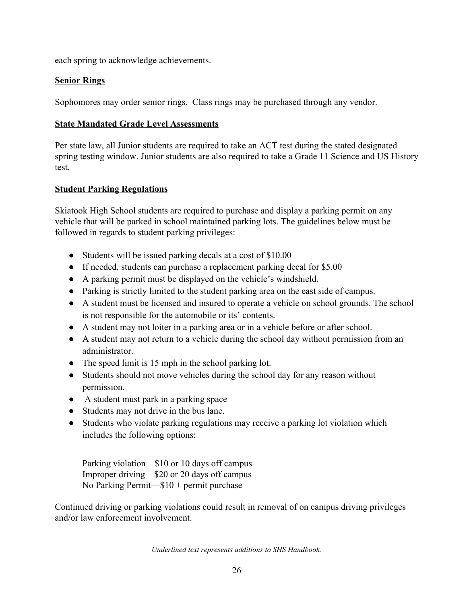<span id="page-25-0"></span>each spring to acknowledge achievements.

#### **Senior Rings**

Sophomores may order senior rings. Class rings may be purchased through any vendor.

#### **State Mandated Grade Level Assessments**

Per state law, all Junior students are required to take an ACT test during the stated designated spring testing window. Junior students are also required to take a Grade 11 Science and US History test.

#### **Student Parking Regulations**

Skiatook High School students are required to purchase and display a parking permit on any vehicle that will be parked in school maintained parking lots. The guidelines below must be followed in regards to student parking privileges:

- Students will be issued parking decals at a cost of \$10.00
- If needed, students can purchase a replacement parking decal for \$5.00
- A parking permit must be displayed on the vehicle's windshield.
- Parking is strictly limited to the student parking area on the east side of campus.
- A student must be licensed and insured to operate a vehicle on school grounds. The school is not responsible for the automobile or its' contents.
- A student may not loiter in a parking area or in a vehicle before or after school.
- A student may not return to a vehicle during the school day without permission from an administrator.
- The speed limit is 15 mph in the school parking lot.
- Students should not move vehicles during the school day for any reason without permission.
- A student must park in a parking space
- Students may not drive in the bus lane.
- Students who violate parking regulations may receive a parking lot violation which includes the following options:

Parking violation—\$10 or 10 days off campus Improper driving—\$20 or 20 days off campus No Parking Permit—\$10 + permit purchase

Continued driving or parking violations could result in removal of on campus driving privileges and/or law enforcement involvement.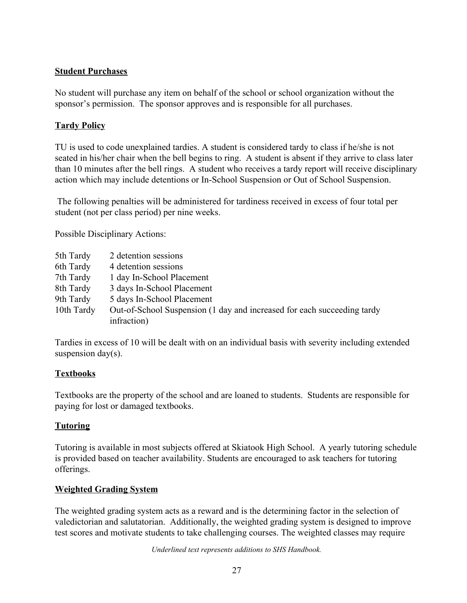#### **Student Purchases**

No student will purchase any item on behalf of the school or school organization without the sponsor's permission. The sponsor approves and is responsible for all purchases.

#### **Tardy Policy**

TU is used to code unexplained tardies. A student is considered tardy to class if he/she is not seated in his/her chair when the bell begins to ring. A student is absent if they arrive to class later than 10 minutes after the bell rings. A student who receives a tardy report will receive disciplinary action which may include detentions or In-School Suspension or Out of School Suspension.

 The following penalties will be administered for tardiness received in excess of four total per student (not per class period) per nine weeks.

Possible Disciplinary Actions:

| 5th Tardy  | 2 detention sessions                                                    |
|------------|-------------------------------------------------------------------------|
| 6th Tardy  | 4 detention sessions                                                    |
| 7th Tardy  | 1 day In-School Placement                                               |
| 8th Tardy  | 3 days In-School Placement                                              |
| 9th Tardy  | 5 days In-School Placement                                              |
| 10th Tardy | Out-of-School Suspension (1 day and increased for each succeeding tardy |
|            | infraction)                                                             |

Tardies in excess of 10 will be dealt with on an individual basis with severity including extended suspension day(s).

#### <span id="page-26-0"></span>**Textbooks**

Textbooks are the property of the school and are loaned to students. Students are responsible for paying for lost or damaged textbooks.

### <span id="page-26-1"></span>**Tutoring**

Tutoring is available in most subjects offered at Skiatook High School. A yearly tutoring schedule is provided based on teacher availability. Students are encouraged to ask teachers for tutoring offerings.

#### <span id="page-26-2"></span>**Weighted Grading System**

The weighted grading system acts as a reward and is the determining factor in the selection of valedictorian and salutatorian. Additionally, the weighted grading system is designed to improve test scores and motivate students to take challenging courses. The weighted classes may require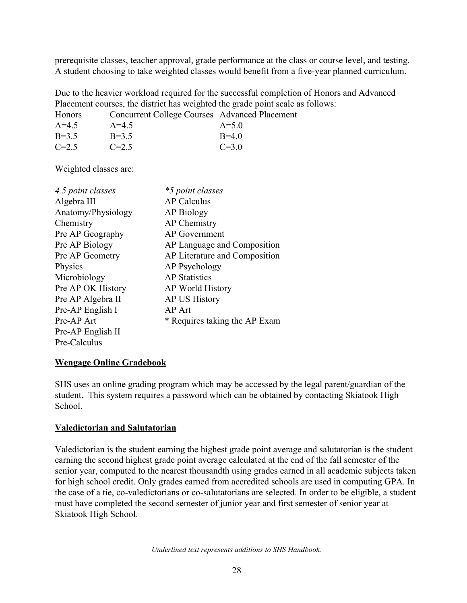prerequisite classes, teacher approval, grade performance at the class or course level, and testing. A student choosing to take weighted classes would benefit from a five-year planned curriculum.

Due to the heavier workload required for the successful completion of Honors and Advanced Placement courses, the district has weighted the grade point scale as follows:

| Honors  | Concurrent College Courses Advanced Placement |           |
|---------|-----------------------------------------------|-----------|
| $A=4.5$ | $A=4.5$                                       | $A = 5.0$ |
| $B=3.5$ | $B=3.5$                                       | $B=40$    |
| $C=2.5$ | $C=2.5$                                       | $C = 3.0$ |

Weighted classes are:

| 4.5 point classes  | *5 point classes              |
|--------------------|-------------------------------|
| Algebra III        | <b>AP Calculus</b>            |
| Anatomy/Physiology | AP Biology                    |
| Chemistry          | <b>AP</b> Chemistry           |
| Pre AP Geography   | <b>AP</b> Government          |
| Pre AP Biology     | AP Language and Composition   |
| Pre AP Geometry    | AP Literature and Composition |
| Physics            | AP Psychology                 |
| Microbiology       | <b>AP</b> Statistics          |
| Pre AP OK History  | AP World History              |
| Pre AP Algebra II  | <b>AP US History</b>          |
| Pre-AP English I   | AP Art                        |
| Pre-AP Art         | * Requires taking the AP Exam |
| Pre-AP English II  |                               |
| Pre-Calculus       |                               |

#### <span id="page-27-0"></span>**Wengage Online Gradebook**

SHS uses an online grading program which may be accessed by the legal parent/guardian of the student. This system requires a password which can be obtained by contacting Skiatook High School.

#### **Valedictorian and Salutatorian**

Valedictorian is the student earning the highest grade point average and salutatorian is the student earning the second highest grade point average calculated at the end of the fall semester of the senior year, computed to the nearest thousandth using grades earned in all academic subjects taken for high school credit. Only grades earned from accredited schools are used in computing GPA. In the case of a tie, co-valedictorians or co-salutatorians are selected. In order to be eligible, a student must have completed the second semester of junior year and first semester of senior year at Skiatook High School.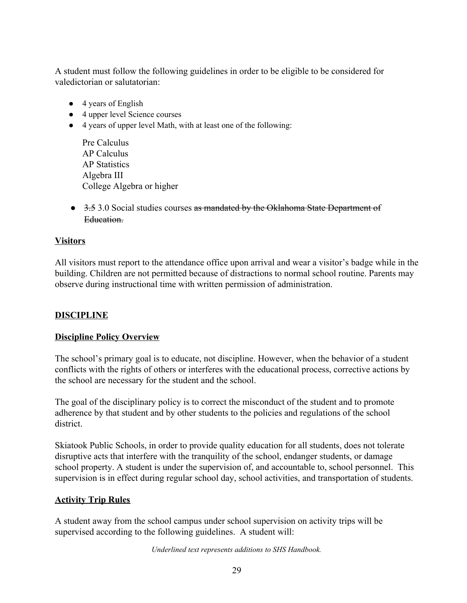A student must follow the following guidelines in order to be eligible to be considered for valedictorian or salutatorian:

- 4 years of English
- 4 upper level Science courses
- 4 years of upper level Math, with at least one of the following:

Pre Calculus AP Calculus AP Statistics Algebra III College Algebra or higher

● 3.5 3.0 Social studies courses as mandated by the Oklahoma State Department of Education.

#### <span id="page-28-0"></span>**Visitors**

All visitors must report to the attendance office upon arrival and wear a visitor's badge while in the building. Children are not permitted because of distractions to normal school routine. Parents may observe during instructional time with written permission of administration.

### <span id="page-28-1"></span>**DISCIPLINE**

#### **Discipline Policy Overview**

The school's primary goal is to educate, not discipline. However, when the behavior of a student conflicts with the rights of others or interferes with the educational process, corrective actions by the school are necessary for the student and the school.

The goal of the disciplinary policy is to correct the misconduct of the student and to promote adherence by that student and by other students to the policies and regulations of the school district.

Skiatook Public Schools, in order to provide quality education for all students, does not tolerate disruptive acts that interfere with the tranquility of the school, endanger students, or damage school property. A student is under the supervision of, and accountable to, school personnel. This supervision is in effect during regular school day, school activities, and transportation of students.

### **Activity Trip Rules**

A student away from the school campus under school supervision on activity trips will be supervised according to the following guidelines. A student will: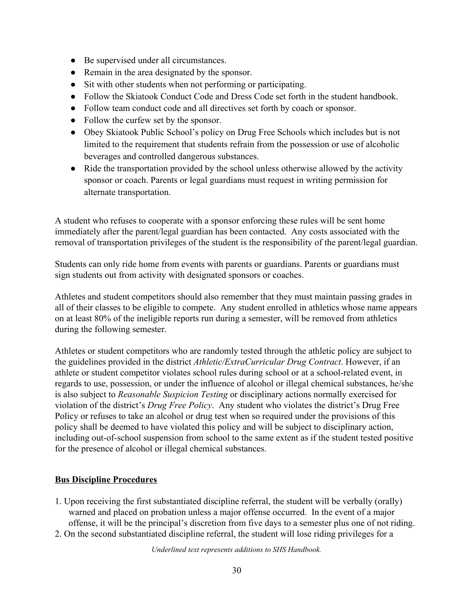- Be supervised under all circumstances.
- Remain in the area designated by the sponsor.
- Sit with other students when not performing or participating.
- Follow the Skiatook Conduct Code and Dress Code set forth in the student handbook.
- Follow team conduct code and all directives set forth by coach or sponsor.
- Follow the curfew set by the sponsor.
- Obey Skiatook Public School's policy on Drug Free Schools which includes but is not limited to the requirement that students refrain from the possession or use of alcoholic beverages and controlled dangerous substances.
- Ride the transportation provided by the school unless otherwise allowed by the activity sponsor or coach. Parents or legal guardians must request in writing permission for alternate transportation.

A student who refuses to cooperate with a sponsor enforcing these rules will be sent home immediately after the parent/legal guardian has been contacted. Any costs associated with the removal of transportation privileges of the student is the responsibility of the parent/legal guardian.

Students can only ride home from events with parents or guardians. Parents or guardians must sign students out from activity with designated sponsors or coaches.

Athletes and student competitors should also remember that they must maintain passing grades in all of their classes to be eligible to compete. Any student enrolled in athletics whose name appears on at least 80% of the ineligible reports run during a semester, will be removed from athletics during the following semester.

Athletes or student competitors who are randomly tested through the athletic policy are subject to the guidelines provided in the district *Athletic/ExtraCurricular Drug Contract*. However, if an athlete or student competitor violates school rules during school or at a school-related event, in regards to use, possession, or under the influence of alcohol or illegal chemical substances, he/she is also subject to *Reasonable Suspicion Testing* or disciplinary actions normally exercised for violation of the district's *Drug Free Policy*. Any student who violates the district's Drug Free Policy or refuses to take an alcohol or drug test when so required under the provisions of this policy shall be deemed to have violated this policy and will be subject to disciplinary action, including out-of-school suspension from school to the same extent as if the student tested positive for the presence of alcohol or illegal chemical substances.

### <span id="page-29-0"></span>**Bus Discipline Procedures**

- 1. Upon receiving the first substantiated discipline referral, the student will be verbally (orally) warned and placed on probation unless a major offense occurred. In the event of a major offense, it will be the principal's discretion from five days to a semester plus one of not riding.
- 2. On the second substantiated discipline referral, the student will lose riding privileges for a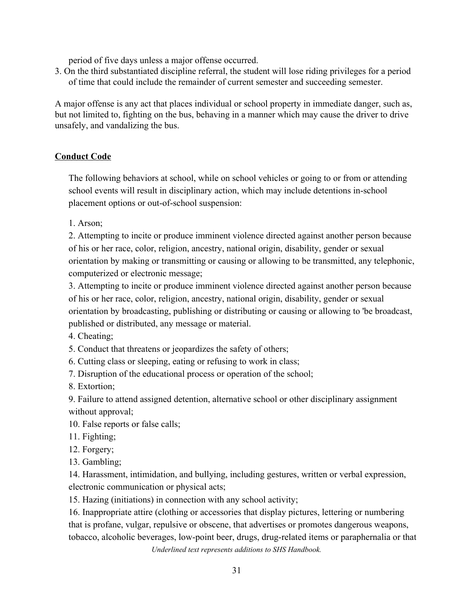period of five days unless a major offense occurred.

3. On the third substantiated discipline referral, the student will lose riding privileges for a period of time that could include the remainder of current semester and succeeding semester.

A major offense is any act that places individual or school property in immediate danger, such as, but not limited to, fighting on the bus, behaving in a manner which may cause the driver to drive unsafely, and vandalizing the bus.

#### <span id="page-30-0"></span>**Conduct Code**

The following behaviors at school, while on school vehicles or going to or from or attending school events will result in disciplinary action, which may include detentions in-school placement options or out-of-school suspension:

1. Arson;

2. Attempting to incite or produce imminent violence directed against another person because of his or her race, color, religion, ancestry, national origin, disability, gender or sexual orientation by making or transmitting or causing or allowing to be transmitted, any telephonic, computerized or electronic message;

3. Attempting to incite or produce imminent violence directed against another person because of his or her race, color, religion, ancestry, national origin, disability, gender or sexual orientation by broadcasting, publishing or distributing or causing or allowing to 'be broadcast, published or distributed, any message or material.

4. Cheating;

5. Conduct that threatens or jeopardizes the safety of others;

6. Cutting class or sleeping, eating or refusing to work in class;

7. Disruption of the educational process or operation of the school;

8. Extortion;

9. Failure to attend assigned detention, alternative school or other disciplinary assignment without approval;

10. False reports or false calls;

- 11. Fighting;
- 12. Forgery;
- 13. Gambling;

14. Harassment, intimidation, and bullying, including gestures, written or verbal expression, electronic communication or physical acts;

15. Hazing (initiations) in connection with any school activity;

16. Inappropriate attire (clothing or accessories that display pictures, lettering or numbering that is profane, vulgar, repulsive or obscene, that advertises or promotes dangerous weapons, tobacco, alcoholic beverages, low-point beer, drugs, drug-related items or paraphernalia or that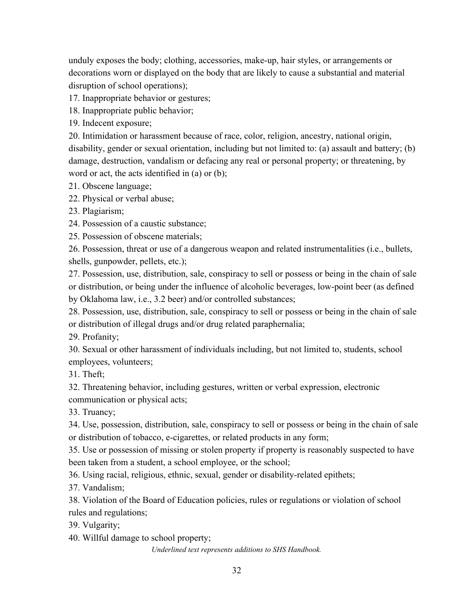unduly exposes the body; clothing, accessories, make-up, hair styles, or arrangements or decorations worn or displayed on the body that are likely to cause a substantial and material disruption of school operations);

17. Inappropriate behavior or gestures;

18. Inappropriate public behavior;

19. Indecent exposure;

20. Intimidation or harassment because of race, color, religion, ancestry, national origin, disability, gender or sexual orientation, including but not limited to: (a) assault and battery; (b) damage, destruction, vandalism or defacing any real or personal property; or threatening, by word or act, the acts identified in (a) or (b);

21. Obscene language;

22. Physical or verbal abuse;

23. Plagiarism;

24. Possession of a caustic substance;

25. Possession of obscene materials;

26. Possession, threat or use of a dangerous weapon and related instrumentalities (i.e., bullets, shells, gunpowder, pellets, etc.);

27. Possession, use, distribution, sale, conspiracy to sell or possess or being in the chain of sale or distribution, or being under the influence of alcoholic beverages, low-point beer (as defined by Oklahoma law, i.e., 3.2 beer) and/or controlled substances;

28. Possession, use, distribution, sale, conspiracy to sell or possess or being in the chain of sale or distribution of illegal drugs and/or drug related paraphernalia;

29. Profanity;

30. Sexual or other harassment of individuals including, but not limited to, students, school employees, volunteers;

31. Theft;

32. Threatening behavior, including gestures, written or verbal expression, electronic communication or physical acts;

33. Truancy;

34. Use, possession, distribution, sale, conspiracy to sell or possess or being in the chain of sale or distribution of tobacco, e-cigarettes, or related products in any form;

35. Use or possession of missing or stolen property if property is reasonably suspected to have been taken from a student, a school employee, or the school;

36. Using racial, religious, ethnic, sexual, gender or disability-related epithets;

37. Vandalism;

38. Violation of the Board of Education policies, rules or regulations or violation of school rules and regulations;

39. Vulgarity;

40. Willful damage to school property;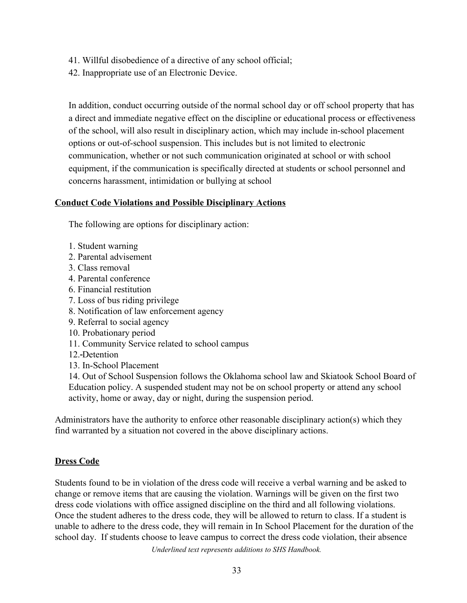- 41. Willful disobedience of a directive of any school official;
- 42. Inappropriate use of an Electronic Device.

In addition, conduct occurring outside of the normal school day or off school property that has a direct and immediate negative effect on the discipline or educational process or effectiveness of the school, will also result in disciplinary action, which may include in-school placement options or out-of-school suspension. This includes but is not limited to electronic communication, whether or not such communication originated at school or with school equipment, if the communication is specifically directed at students or school personnel and concerns harassment, intimidation or bullying at school

#### <span id="page-32-0"></span>**Conduct Code Violations and Possible Disciplinary Actions**

The following are options for disciplinary action:

- 1. Student warning
- 2. Parental advisement
- 3. Class removal
- 4. Parental conference
- 6. Financial restitution
- 7. Loss of bus riding privilege
- 8. Notification of law enforcement agency
- 9. Referral to social agency
- 10. Probationary period
- 11. Community Service related to school campus
- 12. Detention
- 13. In-School Placement

14. Out of School Suspension follows the Oklahoma school law and Skiatook School Board of Education policy. A suspended student may not be on school property or attend any school activity, home or away, day or night, during the suspension period.

Administrators have the authority to enforce other reasonable disciplinary action(s) which they find warranted by a situation not covered in the above disciplinary actions.

#### <span id="page-32-1"></span>**Dress Code**

Students found to be in violation of the dress code will receive a verbal warning and be asked to change or remove items that are causing the violation. Warnings will be given on the first two dress code violations with office assigned discipline on the third and all following violations. Once the student adheres to the dress code, they will be allowed to return to class. If a student is unable to adhere to the dress code, they will remain in In School Placement for the duration of the school day. If students choose to leave campus to correct the dress code violation, their absence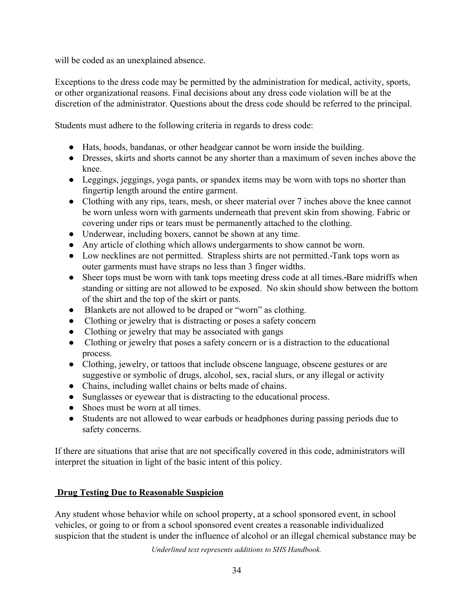will be coded as an unexplained absence.

Exceptions to the dress code may be permitted by the administration for medical, activity, sports, or other organizational reasons. Final decisions about any dress code violation will be at the discretion of the administrator. Questions about the dress code should be referred to the principal.

Students must adhere to the following criteria in regards to dress code:

- Hats, hoods, bandanas, or other headgear cannot be worn inside the building.
- Dresses, skirts and shorts cannot be any shorter than a maximum of seven inches above the knee.
- Leggings, jeggings, yoga pants, or spandex items may be worn with tops no shorter than fingertip length around the entire garment.
- Clothing with any rips, tears, mesh, or sheer material over 7 inches above the knee cannot be worn unless worn with garments underneath that prevent skin from showing. Fabric or covering under rips or tears must be permanently attached to the clothing.
- Underwear, including boxers, cannot be shown at any time.
- Any article of clothing which allows undergarments to show cannot be worn.
- Low necklines are not permitted. Strapless shirts are not permitted. Tank tops worn as outer garments must have straps no less than 3 finger widths.
- Sheer tops must be worn with tank tops meeting dress code at all times. Bare midriffs when standing or sitting are not allowed to be exposed. No skin should show between the bottom of the shirt and the top of the skirt or pants.
- Blankets are not allowed to be draped or "worn" as clothing.
- Clothing or jewelry that is distracting or poses a safety concern
- Clothing or jewelry that may be associated with gangs
- Clothing or jewelry that poses a safety concern or is a distraction to the educational process.
- Clothing, jewelry, or tattoos that include obscene language, obscene gestures or are suggestive or symbolic of drugs, alcohol, sex, racial slurs, or any illegal or activity
- Chains, including wallet chains or belts made of chains.
- Sunglasses or eyewear that is distracting to the educational process.
- Shoes must be worn at all times.
- Students are not allowed to wear earbuds or headphones during passing periods due to safety concerns.

If there are situations that arise that are not specifically covered in this code, administrators will interpret the situation in light of the basic intent of this policy.

### <span id="page-33-0"></span>**Drug Testing Due to Reasonable Suspicion**

Any student whose behavior while on school property, at a school sponsored event, in school vehicles, or going to or from a school sponsored event creates a reasonable individualized suspicion that the student is under the influence of alcohol or an illegal chemical substance may be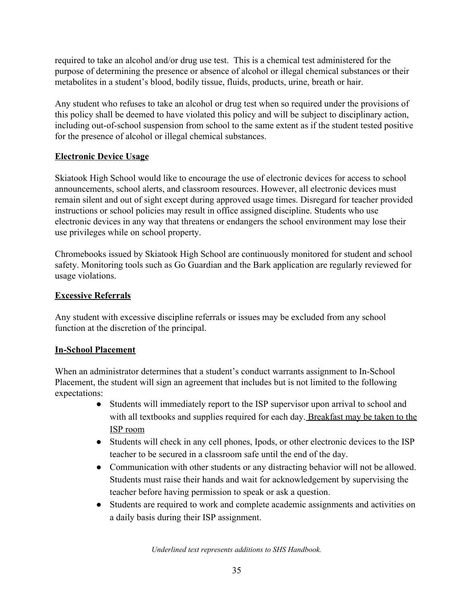required to take an alcohol and/or drug use test. This is a chemical test administered for the purpose of determining the presence or absence of alcohol or illegal chemical substances or their metabolites in a student's blood, bodily tissue, fluids, products, urine, breath or hair.

Any student who refuses to take an alcohol or drug test when so required under the provisions of this policy shall be deemed to have violated this policy and will be subject to disciplinary action, including out-of-school suspension from school to the same extent as if the student tested positive for the presence of alcohol or illegal chemical substances.

### **Electronic Device Usage**

Skiatook High School would like to encourage the use of electronic devices for access to school announcements, school alerts, and classroom resources. However, all electronic devices must remain silent and out of sight except during approved usage times. Disregard for teacher provided instructions or school policies may result in office assigned discipline. Students who use electronic devices in any way that threatens or endangers the school environment may lose their use privileges while on school property.

Chromebooks issued by Skiatook High School are continuously monitored for student and school safety. Monitoring tools such as Go Guardian and the Bark application are regularly reviewed for usage violations.

### **Excessive Referrals**

Any student with excessive discipline referrals or issues may be excluded from any school function at the discretion of the principal.

#### **In-School Placement**

When an administrator determines that a student's conduct warrants assignment to In-School Placement, the student will sign an agreement that includes but is not limited to the following expectations:

- Students will immediately report to the ISP supervisor upon arrival to school and with all textbooks and supplies required for each day. Breakfast may be taken to the ISP room
- Students will check in any cell phones, Ipods, or other electronic devices to the ISP teacher to be secured in a classroom safe until the end of the day.
- Communication with other students or any distracting behavior will not be allowed. Students must raise their hands and wait for acknowledgement by supervising the teacher before having permission to speak or ask a question.
- Students are required to work and complete academic assignments and activities on a daily basis during their ISP assignment.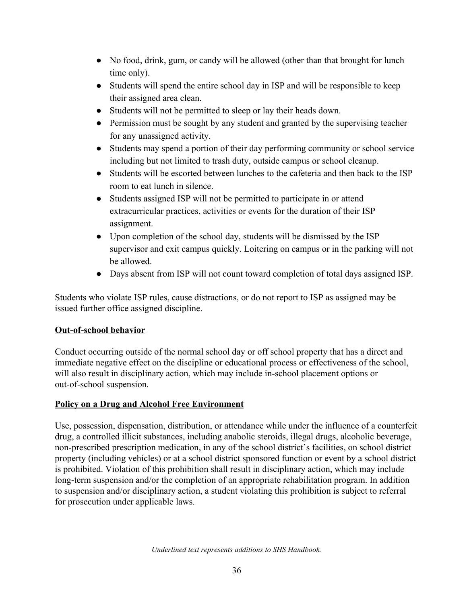- No food, drink, gum, or candy will be allowed (other than that brought for lunch time only).
- Students will spend the entire school day in ISP and will be responsible to keep their assigned area clean.
- Students will not be permitted to sleep or lay their heads down.
- Permission must be sought by any student and granted by the supervising teacher for any unassigned activity.
- Students may spend a portion of their day performing community or school service including but not limited to trash duty, outside campus or school cleanup.
- Students will be escorted between lunches to the cafeteria and then back to the ISP room to eat lunch in silence.
- Students assigned ISP will not be permitted to participate in or attend extracurricular practices, activities or events for the duration of their ISP assignment.
- Upon completion of the school day, students will be dismissed by the ISP supervisor and exit campus quickly. Loitering on campus or in the parking will not be allowed.
- Days absent from ISP will not count toward completion of total days assigned ISP.

Students who violate ISP rules, cause distractions, or do not report to ISP as assigned may be issued further office assigned discipline.

# **Out-of-school behavior**

Conduct occurring outside of the normal school day or off school property that has a direct and immediate negative effect on the discipline or educational process or effectiveness of the school, will also result in disciplinary action, which may include in-school placement options or out-of-school suspension.

# <span id="page-35-0"></span>**Policy on a Drug and Alcohol Free Environment**

Use, possession, dispensation, distribution, or attendance while under the influence of a counterfeit drug, a controlled illicit substances, including anabolic steroids, illegal drugs, alcoholic beverage, non-prescribed prescription medication, in any of the school district's facilities, on school district property (including vehicles) or at a school district sponsored function or event by a school district is prohibited. Violation of this prohibition shall result in disciplinary action, which may include long-term suspension and/or the completion of an appropriate rehabilitation program. In addition to suspension and/or disciplinary action, a student violating this prohibition is subject to referral for prosecution under applicable laws.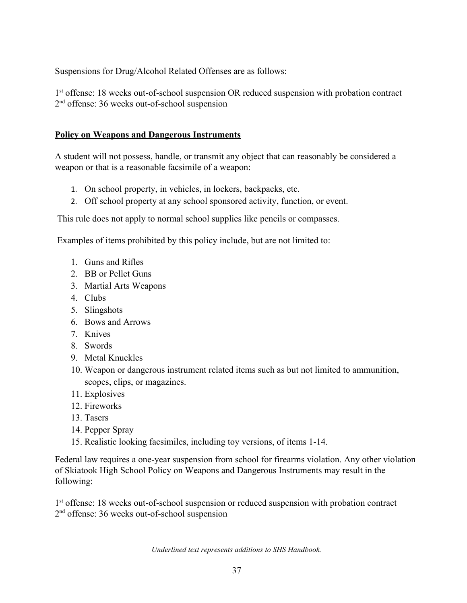Suspensions for Drug/Alcohol Related Offenses are as follows:

1<sup>st</sup> offense: 18 weeks out-of-school suspension OR reduced suspension with probation contract 2<sup>nd</sup> offense: 36 weeks out-of-school suspension

#### <span id="page-36-0"></span>**Policy on Weapons and Dangerous Instruments**

A student will not possess, handle, or transmit any object that can reasonably be considered a weapon or that is a reasonable facsimile of a weapon:

- 1. On school property, in vehicles, in lockers, backpacks, etc.
- 2. Off school property at any school sponsored activity, function, or event.

This rule does not apply to normal school supplies like pencils or compasses.

Examples of items prohibited by this policy include, but are not limited to:

- 1. Guns and Rifles
- 2. BB or Pellet Guns
- 3. Martial Arts Weapons
- 4. Clubs
- 5. Slingshots
- 6. Bows and Arrows
- 7. Knives
- 8. Swords
- 9. Metal Knuckles
- 10. Weapon or dangerous instrument related items such as but not limited to ammunition, scopes, clips, or magazines.
- 11. Explosives
- 12. Fireworks
- 13. Tasers
- 14. Pepper Spray
- 15. Realistic looking facsimiles, including toy versions, of items 1-14.

Federal law requires a one-year suspension from school for firearms violation. Any other violation of Skiatook High School Policy on Weapons and Dangerous Instruments may result in the following:

1<sup>st</sup> offense: 18 weeks out-of-school suspension or reduced suspension with probation contract 2<sup>nd</sup> offense: 36 weeks out-of-school suspension